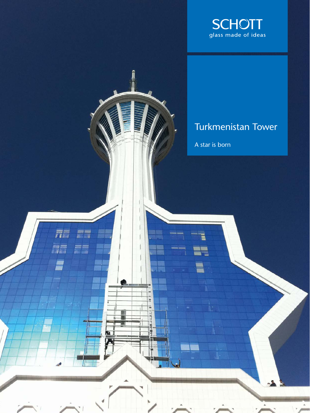

## Turkmenistan Tower

 $\Delta$ 

A star is born

 $\overline{\overline{n}}$ 

**Alla** 

言言

 $\rightarrow$ 

Ľ

E  $\equiv$ 

圃

'nΙ